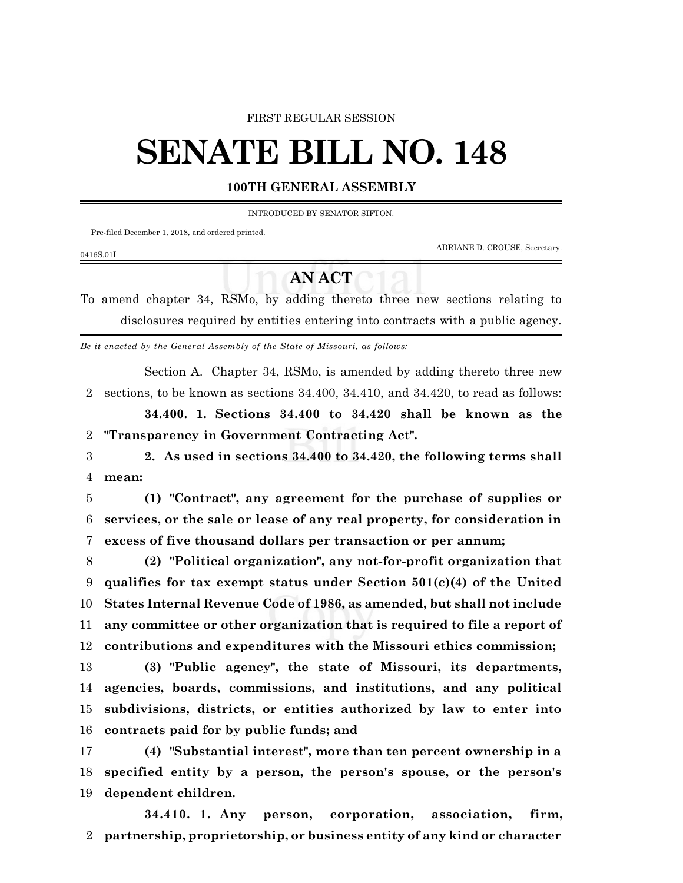#### FIRST REGULAR SESSION

# **SENATE BILL NO. 148**

### **100TH GENERAL ASSEMBLY**

INTRODUCED BY SENATOR SIFTON.

Pre-filed December 1, 2018, and ordered printed.

ADRIANE D. CROUSE, Secretary.

#### 0416S.01I

## **AN ACT**

To amend chapter 34, RSMo, by adding thereto three new sections relating to disclosures required by entities entering into contracts with a public agency.

*Be it enacted by the General Assembly of the State of Missouri, as follows:*

Section A. Chapter 34, RSMo, is amended by adding thereto three new 2 sections, to be known as sections 34.400, 34.410, and 34.420, to read as follows:

**34.400. 1. Sections 34.400 to 34.420 shall be known as the** 2 **"Transparency in Government Contracting Act".**

3 **2. As used in sections 34.400 to 34.420, the following terms shall** 4 **mean:**

5 **(1) "Contract", any agreement for the purchase of supplies or** 6 **services, or the sale or lease of any real property, for consideration in** 7 **excess of five thousand dollars per transaction or per annum;**

 **(2) "Political organization", any not-for-profit organization that qualifies for tax exempt status under Section 501(c)(4) of the United States Internal Revenue Code of 1986, as amended, but shall not include any committee or other organization that is required to file a report of contributions and expenditures with the Missouri ethics commission;**

 **(3) "Public agency", the state of Missouri, its departments, agencies, boards, commissions, and institutions, and any political subdivisions, districts, or entities authorized by law to enter into contracts paid for by public funds; and**

17 **(4) "Substantial interest", more than ten percent ownership in a** 18 **specified entity by a person, the person's spouse, or the person's** 19 **dependent children.**

**34.410. 1. Any person, corporation, association, firm,** 2 **partnership, proprietorship, or business entity of any kind or character**